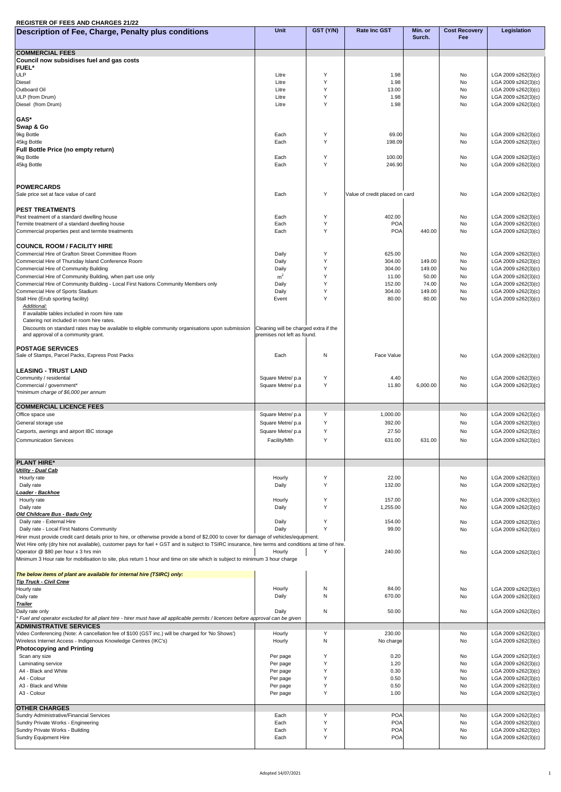## **REGISTER OF FEES AND CHARGES 21/22**

| Description of Fee, Charge, Penalty plus conditions                                                                                                                 | <b>Unit</b>                           | GST (Y/N)        | <b>Rate Inc GST</b>            | Min. or<br>Surch. | <b>Cost Recovery</b><br>Fee | <b>Legislation</b>                         |
|---------------------------------------------------------------------------------------------------------------------------------------------------------------------|---------------------------------------|------------------|--------------------------------|-------------------|-----------------------------|--------------------------------------------|
|                                                                                                                                                                     |                                       |                  |                                |                   |                             |                                            |
| <b>COMMERCIAL FEES</b><br>Council now subsidises fuel and gas costs                                                                                                 |                                       |                  |                                |                   |                             |                                            |
| <b>FUEL*</b>                                                                                                                                                        |                                       |                  |                                |                   |                             |                                            |
| ULP<br><b>Diesel</b>                                                                                                                                                | Litre<br>Litre                        |                  | 1.98<br>1.98                   |                   | No<br><b>No</b>             | LGA 2009 s262(3)(c)<br>LGA 2009 s262(3)(c) |
| <b>Outboard Oil</b>                                                                                                                                                 | Litre                                 |                  | 13.00                          |                   | <b>No</b>                   | LGA 2009 s262(3)(c)                        |
| ULP (from Drum)                                                                                                                                                     | Litre                                 | $\vee$<br>$\vee$ | 1.98                           |                   | <b>No</b>                   | LGA 2009 s262(3)(c)                        |
| Diesel (from Drum)                                                                                                                                                  | Litre                                 |                  | 1.98                           |                   | <b>No</b>                   | LGA 2009 s262(3)(c)                        |
| GAS*                                                                                                                                                                |                                       |                  |                                |                   |                             |                                            |
| <b>Swap &amp; Go</b><br>9kg Bottle                                                                                                                                  | Each                                  |                  | 69.00                          |                   | <b>No</b>                   | LGA 2009 s262(3)(c)                        |
| 45kg Bottle                                                                                                                                                         | Each                                  | Y                | 198.09                         |                   | <b>No</b>                   | LGA 2009 s262(3)(c)                        |
| <b>Full Bottle Price (no empty return)</b>                                                                                                                          |                                       |                  |                                |                   |                             |                                            |
| 9kg Bottle<br>45kg Bottle                                                                                                                                           | Each<br>Each                          | Y<br>Y           | 100.00<br>246.90               |                   | No<br><b>No</b>             | LGA 2009 s262(3)(c)<br>LGA 2009 s262(3)(c) |
|                                                                                                                                                                     |                                       |                  |                                |                   |                             |                                            |
|                                                                                                                                                                     |                                       |                  |                                |                   |                             |                                            |
| <b>POWERCARDS</b><br>Sale price set at face value of card                                                                                                           | Each                                  | Y                | Value of credit placed on card |                   | <b>No</b>                   | LGA 2009 s262(3)(c)                        |
|                                                                                                                                                                     |                                       |                  |                                |                   |                             |                                            |
| <b>PEST TREATMENTS</b><br>Pest treatment of a standard dwelling house                                                                                               | Each                                  | Y                | 402.00                         |                   | <b>No</b>                   | LGA 2009 s262(3)(c)                        |
| Termite treatment of a standard dwelling house                                                                                                                      | Each                                  |                  | <b>POA</b>                     |                   | No                          | LGA 2009 s262(3)(c)                        |
| Commercial properties pest and termite treatments                                                                                                                   | Each                                  |                  | <b>POA</b>                     | 440.00            | No                          | LGA 2009 s262(3)(c)                        |
| <b>COUNCIL ROOM / FACILITY HIRE</b>                                                                                                                                 |                                       |                  |                                |                   |                             |                                            |
| Commercial Hire of Grafton Street Committee Room                                                                                                                    | Daily                                 |                  | 625.00                         |                   | No                          | LGA 2009 s262(3)(c)                        |
| Commercial Hire of Thursday Island Conference Room                                                                                                                  | Daily                                 |                  | 304.00                         | 149.00            | <b>No</b>                   | LGA 2009 s262(3)(c)                        |
| Commercial Hire of Community Building<br>Commercial Hire of Community Building, when part use only                                                                  | Daily<br>m <sup>2</sup>               |                  | 304.00<br>11.00                | 149.00<br>50.00   | <b>No</b><br><b>No</b>      | LGA 2009 s262(3)(c)<br>LGA 2009 s262(3)(c) |
| Commercial Hire of Community Building - Local First Nations Community Members only                                                                                  | Daily                                 |                  | 152.00                         | 74.00             | No                          | LGA 2009 s262(3)(c)                        |
| Commercial Hire of Sports Stadium                                                                                                                                   | Daily<br>Event                        | $\checkmark$     | 304.00<br>80.00                | 149.00<br>80.00   | <b>No</b><br><b>No</b>      | LGA 2009 s262(3)(c)                        |
| Stall Hire (Erub sporting facility)<br><b>Additional:</b>                                                                                                           |                                       |                  |                                |                   |                             | LGA 2009 s262(3)(c)                        |
| If available tables included in room hire rate                                                                                                                      |                                       |                  |                                |                   |                             |                                            |
| Catering not included in room hire rates.<br>Discounts on standard rates may be available to eligible community organisations upon submission                       | Cleaning will be charged extra if the |                  |                                |                   |                             |                                            |
| and approval of a community grant.                                                                                                                                  | premises not left as found.           |                  |                                |                   |                             |                                            |
| <b>POSTAGE SERVICES</b>                                                                                                                                             |                                       |                  |                                |                   |                             |                                            |
| Sale of Stamps, Parcel Packs, Express Post Packs                                                                                                                    | Each                                  | N                | <b>Face Value</b>              |                   | <b>No</b>                   | LGA 2009 s262(3)(c)                        |
| <b>LEASING - TRUST LAND</b>                                                                                                                                         |                                       |                  |                                |                   |                             |                                            |
| Community / residential                                                                                                                                             | Square Metre/ p.a                     |                  | 4.40                           |                   | No                          | LGA 2009 s262(3)(c)                        |
| Commercial / government*<br>*minimum charge of \$6,000 per annum                                                                                                    | Square Metre/ p.a                     | Y                | 11.80                          | 6,000.00          | <b>No</b>                   | LGA 2009 s262(3)(c)                        |
|                                                                                                                                                                     |                                       |                  |                                |                   |                             |                                            |
| <b>COMMERCIAL LICENCE FEES</b><br>Office space use                                                                                                                  | Square Metre/ p.a                     |                  | 1,000.00                       |                   | No                          |                                            |
| General storage use                                                                                                                                                 | Square Metre/ p.a                     |                  | 392.00                         |                   | No                          | LGA 2009 s262(3)(c)<br>LGA 2009 s262(3)(c) |
| Carports, awnings and airport IBC storage                                                                                                                           | Square Metre/ p.a                     | $\vee$           | 27.50                          |                   | <b>No</b>                   | LGA 2009 s262(3)(c)                        |
| <b>Communication Services</b>                                                                                                                                       | Facility/Mth                          |                  | 631.00                         | 631.00            | No                          | LGA 2009 s262(3)(c)                        |
|                                                                                                                                                                     |                                       |                  |                                |                   |                             |                                            |
| <b>PLANT HIRE*</b>                                                                                                                                                  |                                       |                  |                                |                   |                             |                                            |
| <b>Utility - Dual Cab</b><br>Hourly rate                                                                                                                            | Hourly                                |                  | 22.00                          |                   | No                          | LGA 2009 s262(3)(c)                        |
| Daily rate                                                                                                                                                          | Daily                                 | $\checkmark$     | 132.00                         |                   | <b>No</b>                   | LGA 2009 s262(3)(c)                        |
| <u> Loader - Backhoe</u>                                                                                                                                            |                                       |                  |                                |                   |                             |                                            |
| Hourly rate<br>Daily rate                                                                                                                                           | Hourly<br>Daily                       |                  | 157.00<br>1,255.00             |                   | No<br><b>No</b>             | LGA 2009 s262(3)(c)<br>LGA 2009 s262(3)(c) |
| Old Childcare Bus - Badu Only                                                                                                                                       |                                       |                  |                                |                   |                             |                                            |
| Daily rate - External Hire<br>Daily rate - Local First Nations Community                                                                                            | Daily<br>Daily                        |                  | 154.00<br>99.00                |                   | No<br>No                    | LGA 2009 s262(3)(c)<br>LGA 2009 s262(3)(c) |
| Hirer must provide credit card details prior to hire, or otherwise provide a bond of \$2,000 to cover for damage of vehicles/equipment.                             |                                       |                  |                                |                   |                             |                                            |
| Wet Hire only (dry hire not available), customer pays for fuel + GST and is subject to TSIRC insurance, hire terms and conditions at time of hire.                  |                                       |                  |                                |                   |                             |                                            |
| Operator @ \$80 per hour x 3 hrs min<br>Minimum 3 Hour rate for mobilisation to site, plus return 1 hour and time on site which is subject to minimum 3 hour charge | Hourly                                |                  | 240.00                         |                   | No                          | LGA 2009 s262(3)(c)                        |
|                                                                                                                                                                     |                                       |                  |                                |                   |                             |                                            |
| The below items of plant are available for internal hire (TSIRC) only:<br><b>Tip Truck - Civil Crew</b>                                                             |                                       |                  |                                |                   |                             |                                            |
| Hourly rate                                                                                                                                                         | Hourly                                | N                | 84.00                          |                   | No                          | LGA 2009 s262(3)(c)                        |
| Daily rate                                                                                                                                                          | Daily                                 | N                | 670.00                         |                   | <b>No</b>                   | LGA 2009 s262(3)(c)                        |
| <b>Trailer</b><br>Daily rate only                                                                                                                                   | Daily                                 | N                | 50.00                          |                   | No                          | LGA 2009 s262(3)(c)                        |
| Fuel and operator excluded for all plant hire - hirer must have all applicable permits / licences before approval can be given                                      |                                       |                  |                                |                   |                             |                                            |
| <b>ADMINISTRATIVE SERVICES</b><br>Video Conferencing (Note: A cancellation fee of \$100 (GST inc.) will be charged for 'No Shows')                                  | Hourly                                | Y                | 230.00                         |                   | No                          | LGA 2009 s262(3)(c)                        |
| Wireless Internet Access - Indigenous Knowledge Centres (IKC's)                                                                                                     | Hourly                                | N                | No charge                      |                   | No                          | LGA 2009 s262(3)(c)                        |
| <b>Photocopying and Printing</b>                                                                                                                                    |                                       |                  |                                |                   |                             |                                            |
| Scan any size<br>Laminating service                                                                                                                                 | Per page<br>Per page                  |                  | 0.20<br>1.20                   |                   | No<br>No                    | LGA 2009 s262(3)(c)<br>LGA 2009 s262(3)(c) |
| A4 - Black and White                                                                                                                                                | Per page                              |                  | 0.30                           |                   | No                          | LGA 2009 s262(3)(c)                        |
| A4 - Colour                                                                                                                                                         | Per page                              |                  | 0.50                           |                   | <b>No</b>                   | LGA 2009 s262(3)(c)                        |
| A3 - Black and White<br>A3 - Colour                                                                                                                                 | Per page<br>Per page                  | $\checkmark$     | 0.50<br>1.00                   |                   | No<br>No                    | LGA 2009 s262(3)(c)<br>LGA 2009 s262(3)(c) |
|                                                                                                                                                                     |                                       |                  |                                |                   |                             |                                            |
| <b>OTHER CHARGES</b><br><b>Sundry Administrative/Financial Services</b>                                                                                             | Each                                  |                  | POA                            |                   | No                          | LGA 2009 s262(3)(c)                        |
| <b>Sundry Private Works - Engineering</b>                                                                                                                           | Each                                  |                  | <b>POA</b>                     |                   | No                          | LGA 2009 s262(3)(c)                        |
| <b>Sundry Private Works - Building</b>                                                                                                                              | Each<br>Each                          | $\sqrt{}$        | <b>POA</b>                     |                   | No                          | LGA 2009 s262(3)(c)<br>LGA 2009 s262(3)(c) |
| <b>Sundry Equipment Hire</b>                                                                                                                                        |                                       |                  | <b>POA</b>                     |                   | No                          |                                            |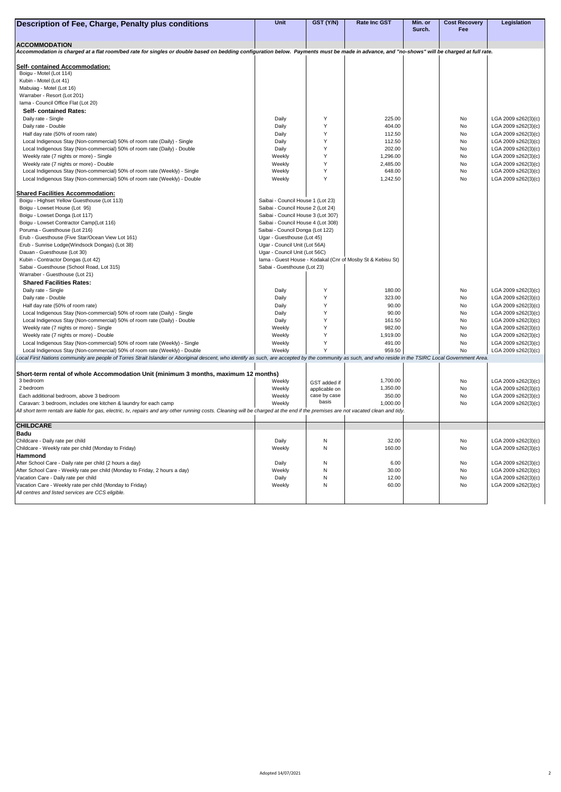| Description of Fee, Charge, Penalty plus conditions                                                                                                                                                       | <b>Unit</b>                        | GST (Y/N)     | <b>Rate Inc GST</b>                                        | Min. or<br>Surch. | <b>Cost Recovery</b><br>Fee | Legislation                                |
|-----------------------------------------------------------------------------------------------------------------------------------------------------------------------------------------------------------|------------------------------------|---------------|------------------------------------------------------------|-------------------|-----------------------------|--------------------------------------------|
|                                                                                                                                                                                                           |                                    |               |                                                            |                   |                             |                                            |
| <b>ACCOMMODATION</b>                                                                                                                                                                                      |                                    |               |                                                            |                   |                             |                                            |
| Accommodation is charged at a flat room/bed rate for singles or double based on bedding configuration below. Payments must be made in advance, and "no-shows" will be charged at full rate.               |                                    |               |                                                            |                   |                             |                                            |
| <b>Self- contained Accommodation:</b>                                                                                                                                                                     |                                    |               |                                                            |                   |                             |                                            |
| Boigu - Motel (Lot 114)                                                                                                                                                                                   |                                    |               |                                                            |                   |                             |                                            |
| Kubin - Motel (Lot 41)                                                                                                                                                                                    |                                    |               |                                                            |                   |                             |                                            |
| Mabuiag - Motel (Lot 16)                                                                                                                                                                                  |                                    |               |                                                            |                   |                             |                                            |
| Warraber - Resort (Lot 201)                                                                                                                                                                               |                                    |               |                                                            |                   |                             |                                            |
| Iama - Council Office Flat (Lot 20)                                                                                                                                                                       |                                    |               |                                                            |                   |                             |                                            |
| <b>Self- contained Rates:</b>                                                                                                                                                                             |                                    |               |                                                            |                   |                             |                                            |
| Daily rate - Single                                                                                                                                                                                       | Daily                              |               | 225.00                                                     |                   | No                          | LGA 2009 s262(3)(c)                        |
| Daily rate - Double                                                                                                                                                                                       | Daily                              |               | 404.00                                                     |                   | No                          | LGA 2009 s262(3)(c)                        |
| Half day rate (50% of room rate)                                                                                                                                                                          | Daily                              |               | 112.50                                                     |                   | No                          | LGA 2009 s262(3)(c)                        |
| Local Indigenous Stay (Non-commercial) 50% of room rate (Daily) - Single                                                                                                                                  | Daily                              |               | 112.50                                                     |                   | No                          | LGA 2009 s262(3)(c)                        |
| Local Indigenous Stay (Non-commercial) 50% of room rate (Daily) - Double                                                                                                                                  | Daily                              |               | 202.00                                                     |                   | No                          | LGA 2009 s262(3)(c)                        |
| Weekly rate (7 nights or more) - Single                                                                                                                                                                   | Weekly<br>Weekly                   |               | 1,296.00                                                   |                   | No<br>No                    | LGA 2009 s262(3)(c)                        |
| Weekly rate (7 nights or more) - Double<br>Local Indigenous Stay (Non-commercial) 50% of room rate (Weekly) - Single                                                                                      | Weekly                             |               | 2,485.00<br>648.00                                         |                   | No                          | LGA 2009 s262(3)(c)<br>LGA 2009 s262(3)(c) |
| Local Indigenous Stay (Non-commercial) 50% of room rate (Weekly) - Double                                                                                                                                 | Weekly                             |               | 1,242.50                                                   |                   | No                          | LGA 2009 s262(3)(c)                        |
|                                                                                                                                                                                                           |                                    |               |                                                            |                   |                             |                                            |
| <b>Shared Facilities Accommodation:</b>                                                                                                                                                                   |                                    |               |                                                            |                   |                             |                                            |
| Boigu - Highset Yellow Guesthouse (Lot 113)                                                                                                                                                               | Saibai - Council House 1 (Lot 23)  |               |                                                            |                   |                             |                                            |
| Boigu - Lowset House (Lot 95)                                                                                                                                                                             | Saibai - Council House 2 (Lot 24)  |               |                                                            |                   |                             |                                            |
| Boigu - Lowset Donga (Lot 117)                                                                                                                                                                            | Saibai - Council House 3 (Lot 307) |               |                                                            |                   |                             |                                            |
| Boigu - Lowset Contractor Camp(Lot 116)                                                                                                                                                                   | Saibai - Council House 4 (Lot 308) |               |                                                            |                   |                             |                                            |
| Poruma - Guesthouse (Lot 216)                                                                                                                                                                             | Saibai - Council Donga (Lot 122)   |               |                                                            |                   |                             |                                            |
| Erub - Guesthouse (Five Star/Ocean View Lot 161)                                                                                                                                                          | Ugar - Guesthouse (Lot 45)         |               |                                                            |                   |                             |                                            |
| Erub - Sunrise Lodge(Windsock Dongas) (Lot 38)                                                                                                                                                            | Ugar - Council Unit (Lot 56A)      |               |                                                            |                   |                             |                                            |
| Dauan - Guesthouse (Lot 30)                                                                                                                                                                               | Ugar - Council Unit (Lot 56C)      |               |                                                            |                   |                             |                                            |
| Kubin - Contractor Dongas (Lot 42)                                                                                                                                                                        |                                    |               | Iama - Guest House - Kodakal (Cnr of Mosby St & Kebisu St) |                   |                             |                                            |
| Sabai - Guesthouse (School Road, Lot 315)                                                                                                                                                                 | Sabai - Guesthouse (Lot 23)        |               |                                                            |                   |                             |                                            |
| Warraber - Guesthouse (Lot 21)                                                                                                                                                                            |                                    |               |                                                            |                   |                             |                                            |
| <b>Shared Facilities Rates:</b><br>Daily rate - Single                                                                                                                                                    | Daily                              |               | 180.00                                                     |                   | No                          |                                            |
| Daily rate - Double                                                                                                                                                                                       | Daily                              |               | 323.00                                                     |                   | No                          | LGA 2009 s262(3)(c)<br>LGA 2009 s262(3)(c) |
| Half day rate (50% of room rate)                                                                                                                                                                          | Daily                              |               | 90.00                                                      |                   | No                          | LGA 2009 s262(3)(c)                        |
| Local Indigenous Stay (Non-commercial) 50% of room rate (Daily) - Single                                                                                                                                  | Daily                              |               | 90.00                                                      |                   | <b>No</b>                   | LGA 2009 s262(3)(c)                        |
| Local Indigenous Stay (Non-commercial) 50% of room rate (Daily) - Double                                                                                                                                  | Daily                              |               | 161.50                                                     |                   | No                          | LGA 2009 s262(3)(c)                        |
| Weekly rate (7 nights or more) - Single                                                                                                                                                                   | Weekly                             |               | 982.00                                                     |                   | No                          | LGA 2009 s262(3)(c)                        |
| Weekly rate (7 nights or more) - Double                                                                                                                                                                   | Weekly                             |               | 1,919.00                                                   |                   | No                          | LGA 2009 s262(3)(c)                        |
| Local Indigenous Stay (Non-commercial) 50% of room rate (Weekly) - Single                                                                                                                                 | Weekly                             |               | 491.00                                                     |                   | No                          | LGA 2009 s262(3)(c)                        |
| Local Indigenous Stay (Non-commercial) 50% of room rate (Weekly) - Double                                                                                                                                 | Weekly                             |               | 959.50                                                     |                   | No                          | LGA 2009 s262(3)(c)                        |
| Local First Nations community are people of Torres Strait Islander or Aboriginal descent, who identify as such, are accepted by the community as such, and who reside in the TSIRC Local Government Area. |                                    |               |                                                            |                   |                             |                                            |
|                                                                                                                                                                                                           |                                    |               |                                                            |                   |                             |                                            |
| Short-term rental of whole Accommodation Unit (minimum 3 months, maximum 12 months)                                                                                                                       |                                    |               |                                                            |                   |                             |                                            |
| 3 bedroom                                                                                                                                                                                                 | Weekly                             | GST added if  | 1,700.00                                                   |                   | No                          | LGA 2009 s262(3)(c)                        |
| 2 bedroom                                                                                                                                                                                                 | Weekly                             | applicable on | 1,350.00                                                   |                   | No                          | LGA 2009 s262(3)(c)                        |
| Each additional bedroom, above 3 bedroom                                                                                                                                                                  | Weekly                             | case by case  | 350.00                                                     |                   | <b>No</b>                   | LGA 2009 s262(3)(c)                        |
| Caravan: 3 bedroom, includes one kitchen & laundry for each camp                                                                                                                                          | Weekly                             | basis         | 1,000.00                                                   |                   | No                          | LGA 2009 s262(3)(c)                        |
| All short term rentals are liable for gas, electric, tv, repairs and any other running costs. Cleaning will be charged at the end if the premises are not vacated clean and tidy.                         |                                    |               |                                                            |                   |                             |                                            |
|                                                                                                                                                                                                           |                                    |               |                                                            |                   |                             |                                            |
| <b>CHILDCARE</b><br><b>Badu</b>                                                                                                                                                                           |                                    |               |                                                            |                   |                             |                                            |
| Childcare - Daily rate per child                                                                                                                                                                          | Daily                              | N             | 32.00                                                      |                   | No                          | LGA 2009 s262(3)(c)                        |
| Childcare - Weekly rate per child (Monday to Friday)                                                                                                                                                      | Weekly                             | N             | 160.00                                                     |                   | No                          | LGA 2009 s262(3)(c)                        |
| <b>Hammond</b>                                                                                                                                                                                            |                                    |               |                                                            |                   |                             |                                            |
| After School Care - Daily rate per child (2 hours a day)                                                                                                                                                  | Daily                              | N             | 6.00                                                       |                   | No                          | LGA 2009 s262(3)(c)                        |
| After School Care - Weekly rate per child (Monday to Friday, 2 hours a day)                                                                                                                               | Weekly                             |               | 30.00                                                      |                   | No                          | LGA 2009 s262(3)(c)                        |
| Vacation Care - Daily rate per child                                                                                                                                                                      | Daily                              |               | 12.00                                                      |                   | No                          | LGA 2009 s262(3)(c)                        |
| Vacation Care - Weekly rate per child (Monday to Friday)                                                                                                                                                  | Weekly                             | N             | 60.00                                                      |                   | No                          | LGA 2009 s262(3)(c)                        |
| All centres and listed services are CCS eligible.                                                                                                                                                         |                                    |               |                                                            |                   |                             |                                            |
|                                                                                                                                                                                                           |                                    |               |                                                            |                   |                             |                                            |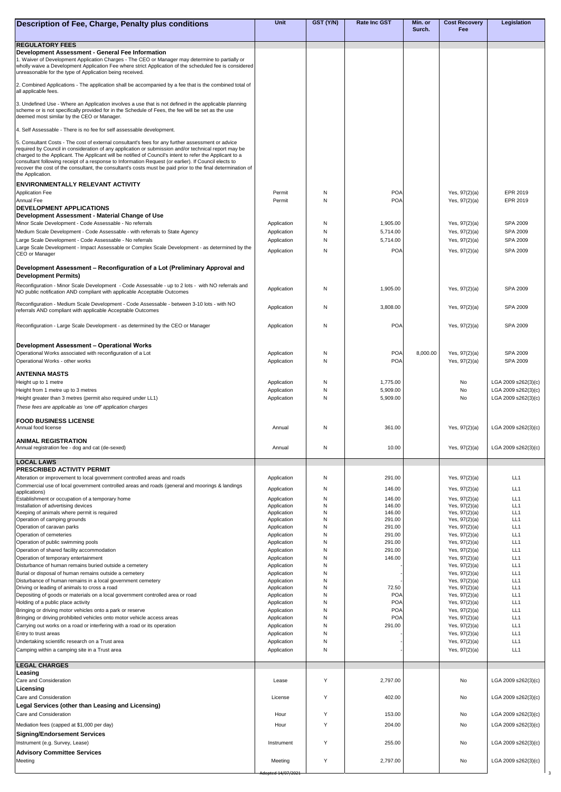| <b>Description of Fee, Charge, Penalty plus conditions</b>                                                                                                                                                                                                                                                                                                                                                                                                  | <b>Unit</b>                | GST (Y/N) | <b>Rate Inc GST</b>      | Min. or  | <b>Cost Recovery</b>               | Legislation                 |
|-------------------------------------------------------------------------------------------------------------------------------------------------------------------------------------------------------------------------------------------------------------------------------------------------------------------------------------------------------------------------------------------------------------------------------------------------------------|----------------------------|-----------|--------------------------|----------|------------------------------------|-----------------------------|
|                                                                                                                                                                                                                                                                                                                                                                                                                                                             |                            |           |                          | Surch.   | Fee                                |                             |
| <b>REGULATORY FEES</b>                                                                                                                                                                                                                                                                                                                                                                                                                                      |                            |           |                          |          |                                    |                             |
| Development Assessment - General Fee Information<br>1. Waiver of Development Application Charges - The CEO or Manager may determine to partially or<br>wholly waive a Development Application Fee where strict Application of the scheduled fee is considered                                                                                                                                                                                               |                            |           |                          |          |                                    |                             |
| unreasonable for the type of Application being received.<br>2. Combined Applications - The application shall be accompanied by a fee that is the combined total of<br>all applicable fees.                                                                                                                                                                                                                                                                  |                            |           |                          |          |                                    |                             |
| 3. Undefined Use - Where an Application involves a use that is not defined in the applicable planning<br>scheme or is not specifically provided for in the Schedule of Fees, the fee will be set as the use                                                                                                                                                                                                                                                 |                            |           |                          |          |                                    |                             |
| deemed most similar by the CEO or Manager.<br>4. Self Assessable - There is no fee for self assessable development.                                                                                                                                                                                                                                                                                                                                         |                            |           |                          |          |                                    |                             |
| 5. Consultant Costs - The cost of external consultant's fees for any further assessment or advice                                                                                                                                                                                                                                                                                                                                                           |                            |           |                          |          |                                    |                             |
| required by Council in consideration of any application or submission and/or technical report may be<br>charged to the Applicant. The Applicant will be notified of Council's intent to refer the Applicant to a<br>consultant following receipt of a response to Information Request (or earlier). If Council elects to<br>recover the cost of the consultant, the consultant's costs must be paid prior to the final determination of<br>the Application. |                            |           |                          |          |                                    |                             |
| ENVIRONMENTALLY RELEVANT ACTIVITY                                                                                                                                                                                                                                                                                                                                                                                                                           |                            |           |                          |          |                                    |                             |
| <b>Application Fee</b><br><b>Annual Fee</b>                                                                                                                                                                                                                                                                                                                                                                                                                 | Permit<br>Permit           | N<br>N    | POA<br><b>POA</b>        |          | Yes, $97(2)(a)$<br>Yes, $97(2)(a)$ | <b>EPR 2019</b><br>EPR 2019 |
| <b>IDEVELOPMENT APPLICATIONS</b>                                                                                                                                                                                                                                                                                                                                                                                                                            |                            |           |                          |          |                                    |                             |
| Development Assessment - Material Change of Use<br>Minor Scale Development - Code Assessable - No referrals                                                                                                                                                                                                                                                                                                                                                 | Application                | N         | 1,905.00                 |          | Yes, $97(2)(a)$                    | <b>SPA 2009</b>             |
| Medium Scale Development - Code Assessable - with referrals to State Agency                                                                                                                                                                                                                                                                                                                                                                                 | Application                | N         | 5,714.00                 |          | Yes, $97(2)(a)$                    | <b>SPA 2009</b>             |
| Large Scale Development - Code Assessable - No referrals                                                                                                                                                                                                                                                                                                                                                                                                    | Application                | N         | 5,714.00                 |          | Yes, $97(2)(a)$                    | <b>SPA 2009</b>             |
| Large Scale Development - Impact Assessable or Complex Scale Development - as determined by the<br><b>CEO or Manager</b>                                                                                                                                                                                                                                                                                                                                    | Application                | N         | <b>POA</b>               |          | Yes, $97(2)(a)$                    | <b>SPA 2009</b>             |
| Development Assessment – Reconfiguration of a Lot (Preliminary Approval and<br><b>Development Permits)</b>                                                                                                                                                                                                                                                                                                                                                  |                            |           |                          |          |                                    |                             |
| Reconfiguration - Minor Scale Development - Code Assessable - up to 2 lots - with NO referrals and<br>NO public notification AND compliant with applicable Acceptable Outcomes                                                                                                                                                                                                                                                                              | Application                | N         | 1,905.00                 |          | Yes, $97(2)(a)$                    | <b>SPA 2009</b>             |
| Reconfiguration - Medium Scale Development - Code Assessable - between 3-10 lots - with NO<br>referrals AND compliant with applicable Acceptable Outcomes                                                                                                                                                                                                                                                                                                   | Application                | N         | 3,808.00                 |          | Yes, $97(2)(a)$                    | <b>SPA 2009</b>             |
| Reconfiguration - Large Scale Development - as determined by the CEO or Manager                                                                                                                                                                                                                                                                                                                                                                             | Application                | N         | POA                      |          | Yes, $97(2)(a)$                    | <b>SPA 2009</b>             |
|                                                                                                                                                                                                                                                                                                                                                                                                                                                             |                            |           |                          |          |                                    |                             |
| Development Assessment – Operational Works<br>Operational Works associated with reconfiguration of a Lot                                                                                                                                                                                                                                                                                                                                                    | Application                | N         | POA                      | 8,000.00 | Yes, $97(2)(a)$                    | <b>SPA 2009</b>             |
| Operational Works - other works                                                                                                                                                                                                                                                                                                                                                                                                                             | Application                | N         | <b>POA</b>               |          | Yes, $97(2)(a)$                    | <b>SPA 2009</b>             |
| <b> ANTENNA MASTS</b>                                                                                                                                                                                                                                                                                                                                                                                                                                       |                            |           |                          |          |                                    |                             |
| Height up to 1 metre                                                                                                                                                                                                                                                                                                                                                                                                                                        | Application                | N         | 1,775.00                 |          | No                                 | LGA 2009 s262(3)(c)         |
| Height from 1 metre up to 3 metres                                                                                                                                                                                                                                                                                                                                                                                                                          | Application                | N         | 5,909.00                 |          | No                                 | LGA 2009 s262(3)(c)         |
| Height greater than 3 metres (permit also required under LL1)<br>These fees are applicable as 'one off' application charges                                                                                                                                                                                                                                                                                                                                 | Application                | N         | 5,909.00                 |          | No                                 | LGA 2009 s262(3)(c)         |
| <b>IFOOD BUSINESS LICENSE</b>                                                                                                                                                                                                                                                                                                                                                                                                                               |                            |           |                          |          |                                    |                             |
| Annual food license                                                                                                                                                                                                                                                                                                                                                                                                                                         | Annual                     | N         | 361.00                   |          | Yes, $97(2)(a)$                    | LGA 2009 s262(3)(c)         |
| <b>ANIMAL REGISTRATION</b><br>Annual registration fee - dog and cat (de-sexed)                                                                                                                                                                                                                                                                                                                                                                              | Annual                     | N         | 10.00                    |          | Yes, $97(2)(a)$                    | LGA 2009 s262(3)(c)         |
| <b>LOCAL LAWS</b><br><b> PRESCRIBED ACTIVITY PERMIT</b>                                                                                                                                                                                                                                                                                                                                                                                                     |                            |           |                          |          |                                    |                             |
| Alteration or improvement to local government controlled areas and roads                                                                                                                                                                                                                                                                                                                                                                                    | Application                | N         | 291.00                   |          | Yes, $97(2)(a)$                    | LL1                         |
| Commercial use of local government controlled areas and roads (general and moorings & landings                                                                                                                                                                                                                                                                                                                                                              | Application                | N         | 146.00                   |          | Yes, $97(2)(a)$                    | LL1                         |
| applications)<br>Establishment or occupation of a temporary home                                                                                                                                                                                                                                                                                                                                                                                            | Application                | N         | 146.00                   |          | Yes, $97(2)(a)$                    | LL1                         |
| Installation of advertising devices                                                                                                                                                                                                                                                                                                                                                                                                                         | Application                | N         | 146.00                   |          | Yes, $97(2)(a)$                    | LL1                         |
| Keeping of animals where permit is required<br>Operation of camping grounds                                                                                                                                                                                                                                                                                                                                                                                 | Application<br>Application | N<br>N    | 146.00<br>291.00         |          | Yes, $97(2)(a)$<br>Yes, $97(2)(a)$ | LL1<br>LL1                  |
| Operation of caravan parks                                                                                                                                                                                                                                                                                                                                                                                                                                  | Application                | N         | 291.00                   |          | Yes, $97(2)(a)$                    | LL1                         |
| Operation of cemeteries                                                                                                                                                                                                                                                                                                                                                                                                                                     | Application                | N<br>N    | 291.00<br>291.00         |          | Yes, $97(2)(a)$                    | LL1<br>LL1                  |
| Operation of public swimming pools<br>Operation of shared facility accommodation                                                                                                                                                                                                                                                                                                                                                                            | Application<br>Application | N         | 291.00                   |          | Yes, $97(2)(a)$<br>Yes, $97(2)(a)$ | LL1                         |
| Operation of temporary entertainment                                                                                                                                                                                                                                                                                                                                                                                                                        | Application                | N         | 146.00                   |          | Yes, $97(2)(a)$                    | LL1                         |
| Disturbance of human remains buried outside a cemetery                                                                                                                                                                                                                                                                                                                                                                                                      | Application                | N         |                          |          | Yes, $97(2)(a)$                    | LL1                         |
| Burial or disposal of human remains outside a cemetery<br>Disturbance of human remains in a local government cemetery                                                                                                                                                                                                                                                                                                                                       | Application<br>Application | N<br>N    |                          |          | Yes, $97(2)(a)$<br>Yes, $97(2)(a)$ | LL1<br>LL1                  |
| Driving or leading of animals to cross a road                                                                                                                                                                                                                                                                                                                                                                                                               | Application                | N         | 72.50                    |          | Yes, $97(2)(a)$                    | LL1                         |
| Depositing of goods or materials on a local government controlled area or road                                                                                                                                                                                                                                                                                                                                                                              | Application                | N         | POA                      |          | Yes, $97(2)(a)$                    | LL1                         |
| Holding of a public place activity<br>Bringing or driving motor vehicles onto a park or reserve                                                                                                                                                                                                                                                                                                                                                             | Application<br>Application | N<br>N    | <b>POA</b><br><b>POA</b> |          | Yes, $97(2)(a)$<br>Yes, $97(2)(a)$ | LL1<br>LL1                  |
| Bringing or driving prohibited vehicles onto motor vehicle access areas                                                                                                                                                                                                                                                                                                                                                                                     | Application                | N         | POA                      |          | Yes, $97(2)(a)$                    | LL1                         |
| Carrying out works on a road or interfering with a road or its operation                                                                                                                                                                                                                                                                                                                                                                                    | Application                | N         | 291.00                   |          | Yes, $97(2)(a)$                    | LL1                         |
| Entry to trust areas                                                                                                                                                                                                                                                                                                                                                                                                                                        | Application                | N         |                          |          | Yes, $97(2)(a)$                    | LL1                         |
| Undertaking scientific research on a Trust area<br>Camping within a camping site in a Trust area                                                                                                                                                                                                                                                                                                                                                            | Application<br>Application | N<br>N    |                          |          | Yes, $97(2)(a)$<br>Yes, $97(2)(a)$ | LL1<br>LL1                  |
| <b>LEGAL CHARGES</b>                                                                                                                                                                                                                                                                                                                                                                                                                                        |                            |           |                          |          |                                    |                             |
| Leasing<br>Care and Consideration                                                                                                                                                                                                                                                                                                                                                                                                                           | Lease                      | Y         | 2,797.00                 |          | No                                 | LGA 2009 s262(3)(c)         |
| <b>Licensing</b>                                                                                                                                                                                                                                                                                                                                                                                                                                            |                            |           |                          |          |                                    |                             |
| <b>Care and Consideration</b>                                                                                                                                                                                                                                                                                                                                                                                                                               | License                    | Y         | 402.00                   |          | No                                 | LGA 2009 s262(3)(c)         |
| Legal Services (other than Leasing and Licensing)<br><b>Care and Consideration</b>                                                                                                                                                                                                                                                                                                                                                                          | Hour                       | Y         | 153.00                   |          | No                                 | LGA 2009 s262(3)(c)         |
| Mediation fees (capped at \$1,000 per day)                                                                                                                                                                                                                                                                                                                                                                                                                  | Hour                       | $\vee$    | 204.00                   |          | No                                 | LGA 2009 s262(3)(c)         |
| <b>Signing/Endorsement Services</b>                                                                                                                                                                                                                                                                                                                                                                                                                         |                            |           |                          |          |                                    |                             |
| Instrument (e.g. Survey, Lease)                                                                                                                                                                                                                                                                                                                                                                                                                             | Instrument                 | Y         | 255.00                   |          | No                                 | LGA 2009 s262(3)(c)         |
| <b>Advisory Committee Services</b><br>Meeting                                                                                                                                                                                                                                                                                                                                                                                                               | Meeting                    | Y         | 2,797.00                 |          | No                                 | LGA 2009 s262(3)(c)         |
|                                                                                                                                                                                                                                                                                                                                                                                                                                                             |                            |           |                          |          |                                    |                             |
|                                                                                                                                                                                                                                                                                                                                                                                                                                                             | Adopted 14/07/2021         |           |                          |          |                                    |                             |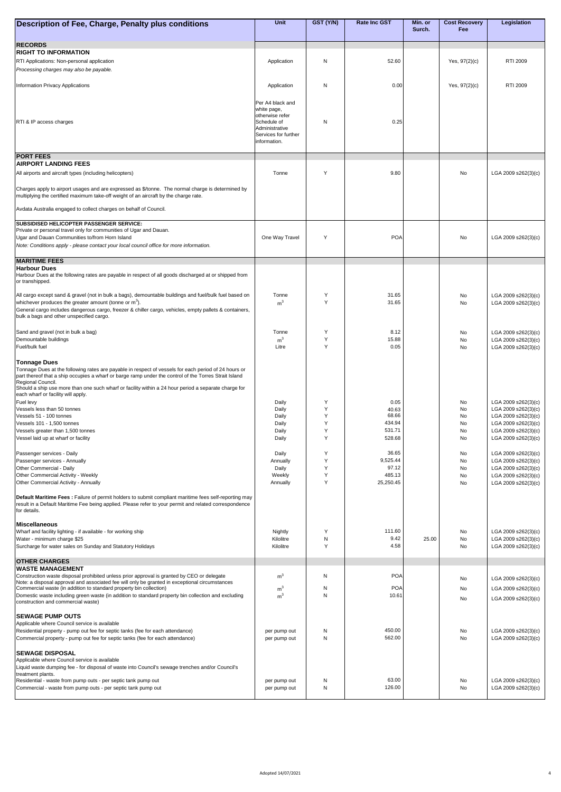| Description of Fee, Charge, Penalty plus conditions                                                                                                                                                           | <b>Unit</b>                          | GST (Y/N)         | <b>Rate Inc GST</b> | Min. or | <b>Cost Recovery</b> | <b>Legislation</b>                         |
|---------------------------------------------------------------------------------------------------------------------------------------------------------------------------------------------------------------|--------------------------------------|-------------------|---------------------|---------|----------------------|--------------------------------------------|
|                                                                                                                                                                                                               |                                      |                   |                     | Surch.  | <b>Fee</b>           |                                            |
| <b>RECORDS</b>                                                                                                                                                                                                |                                      |                   |                     |         |                      |                                            |
| <b>RIGHT TO INFORMATION</b><br><b>RTI Applications: Non-personal application</b>                                                                                                                              | Application                          | N                 | 52.60               |         | Yes, $97(2)(c)$      | <b>RTI 2009</b>                            |
| Processing charges may also be payable.                                                                                                                                                                       |                                      |                   |                     |         |                      |                                            |
|                                                                                                                                                                                                               |                                      | N                 | 0.00                |         |                      | <b>RTI 2009</b>                            |
| <b>Information Privacy Applications</b>                                                                                                                                                                       | Application                          |                   |                     |         | Yes, 97(2)(c)        |                                            |
|                                                                                                                                                                                                               | Per A4 black and                     |                   |                     |         |                      |                                            |
|                                                                                                                                                                                                               | white page,<br>otherwise refer       |                   |                     |         |                      |                                            |
| <b>RTI &amp; IP access charges</b>                                                                                                                                                                            | Schedule of<br>Administrative        | N                 | 0.25                |         |                      |                                            |
|                                                                                                                                                                                                               | Services for further<br>information. |                   |                     |         |                      |                                            |
|                                                                                                                                                                                                               |                                      |                   |                     |         |                      |                                            |
| <b>PORT FEES</b><br><b>AIRPORT LANDING FEES</b>                                                                                                                                                               |                                      |                   |                     |         |                      |                                            |
| All airports and aircraft types (including helicopters)                                                                                                                                                       | Tonne                                | Y                 | 9.80                |         | No                   | LGA 2009 s262(3)(c)                        |
|                                                                                                                                                                                                               |                                      |                   |                     |         |                      |                                            |
| Charges apply to airport usages and are expressed as \$/tonne. The normal charge is determined by<br>multiplying the certified maximum take-off weight of an aircraft by the charge rate.                     |                                      |                   |                     |         |                      |                                            |
| Avdata Australia engaged to collect charges on behalf of Council.                                                                                                                                             |                                      |                   |                     |         |                      |                                            |
|                                                                                                                                                                                                               |                                      |                   |                     |         |                      |                                            |
| <b>SUBSIDISED HELICOPTER PASSENGER SERVICE:</b><br>Private or personal travel only for communities of Ugar and Dauan.                                                                                         |                                      |                   |                     |         |                      |                                            |
| Ugar and Dauan Communities to/from Horn Island                                                                                                                                                                | One Way Travel                       | Y                 | POA                 |         | No                   | LGA 2009 s262(3)(c)                        |
| Note: Conditions apply - please contact your local council office for more information.                                                                                                                       |                                      |                   |                     |         |                      |                                            |
| <b>MARITIME FEES</b>                                                                                                                                                                                          |                                      |                   |                     |         |                      |                                            |
| <b>Harbour Dues</b><br>Harbour Dues at the following rates are payable in respect of all goods discharged at or shipped from                                                                                  |                                      |                   |                     |         |                      |                                            |
| or transhipped.                                                                                                                                                                                               |                                      |                   |                     |         |                      |                                            |
| All cargo except sand & gravel (not in bulk a bags), demountable buildings and fuel/bulk fuel based on                                                                                                        | Tonne                                |                   | 31.65               |         | No                   | LGA 2009 s262(3)(c)                        |
| whichever produces the greater amount (tonne or $m^3$ ).<br>General cargo includes dangerous cargo, freezer & chiller cargo, vehicles, empty pallets & containers,                                            | m <sup>3</sup>                       | $\vee$            | 31.65               |         | No                   | LGA 2009 s262(3)(c)                        |
| bulk a bags and other unspecified cargo.                                                                                                                                                                      |                                      |                   |                     |         |                      |                                            |
| Sand and gravel (not in bulk a bag)                                                                                                                                                                           | Tonne                                | Y                 | 8.12                |         | No                   | LGA 2009 s262(3)(c)                        |
| Demountable buildings                                                                                                                                                                                         | m <sup>3</sup>                       |                   | 15.88               |         | No                   | LGA 2009 s262(3)(c)                        |
| Fuel/bulk fuel                                                                                                                                                                                                | Litre                                | $\vee$            | 0.05                |         | No                   | LGA 2009 s262(3)(c)                        |
| <b>Tonnage Dues</b>                                                                                                                                                                                           |                                      |                   |                     |         |                      |                                            |
| Tonnage Dues at the following rates are payable in respect of vessels for each period of 24 hours or<br>part thereof that a ship occupies a wharf or barge ramp under the control of the Torres Strait Island |                                      |                   |                     |         |                      |                                            |
| Regional Council.<br>Should a ship use more than one such wharf or facility within a 24 hour period a separate charge for                                                                                     |                                      |                   |                     |         |                      |                                            |
| each wharf or facility will apply.                                                                                                                                                                            | Daily                                |                   | 0.05                |         | No                   | LGA 2009 s262(3)(c)                        |
| Fuel levy<br>Vessels less than 50 tonnes                                                                                                                                                                      | Daily                                |                   | 40.63               |         | No                   | LGA 2009 s262(3)(c)                        |
| Vessels 51 - 100 tonnes<br>Vessels 101 - 1,500 tonnes                                                                                                                                                         | Daily<br>Daily                       | $\vee$            | 68.66<br>434.94     |         | No<br>No             | LGA 2009 s262(3)(c)<br>LGA 2009 s262(3)(c) |
| Vessels greater than 1,500 tonnes                                                                                                                                                                             | Daily                                | Y                 | 531.71              |         | No                   | LGA 2009 s262(3)(c)                        |
| Vessel laid up at wharf or facility                                                                                                                                                                           | Daily                                | Y                 | 528.68              |         | No                   | LGA 2009 s262(3)(c)                        |
| Passenger services - Daily                                                                                                                                                                                    | Daily                                | Y                 | 36.65               |         | No                   | LGA 2009 s262(3)(c)                        |
| Passenger services - Annually<br><b>Other Commercial - Daily</b>                                                                                                                                              | Annually<br>Daily                    |                   | 9,525.44<br>97.12   |         | No<br>No             | LGA 2009 s262(3)(c)<br>LGA 2009 s262(3)(c) |
| <b>Other Commercial Activity - Weekly</b>                                                                                                                                                                     | Weekly                               |                   | 485.13              |         | No                   | LGA 2009 s262(3)(c)                        |
| <b>Other Commercial Activity - Annually</b>                                                                                                                                                                   | Annually                             | Y                 | 25,250.45           |         | No                   | LGA 2009 s262(3)(c)                        |
| <b>Default Maritime Fees:</b> Failure of permit holders to submit compliant maritime fees self-reporting may                                                                                                  |                                      |                   |                     |         |                      |                                            |
| result in a Default Maritime Fee being applied. Please refer to your permit and related correspondence<br>for details.                                                                                        |                                      |                   |                     |         |                      |                                            |
| <b>IMiscellaneous</b>                                                                                                                                                                                         |                                      |                   |                     |         |                      |                                            |
| Wharf and facility lighting - if available - for working ship                                                                                                                                                 | Nightly                              | Y                 | 111.60              |         | No                   | LGA 2009 s262(3)(c)                        |
| Water - minimum charge \$25<br>Surcharge for water sales on Sunday and Statutory Holidays                                                                                                                     | Kilolitre<br>Kilolitre               | N<br>$\checkmark$ | 9.42<br>4.58        | 25.00   | No<br>No             | LGA 2009 s262(3)(c)<br>LGA 2009 s262(3)(c) |
|                                                                                                                                                                                                               |                                      |                   |                     |         |                      |                                            |
| <b>OTHER CHARGES</b><br><b>WASTE MANAGEMENT</b>                                                                                                                                                               |                                      |                   |                     |         |                      |                                            |
| Construction waste disposal prohibited unless prior approval is granted by CEO or delegate<br>Note: a disposal approval and associated fee will only be granted in exceptional circumstances                  | m <sup>3</sup>                       | N                 | <b>POA</b>          |         | No                   | LGA 2009 s262(3)(c)                        |
| Commercial waste (in addition to standard property bin collection)                                                                                                                                            | m <sup>3</sup>                       | N                 | <b>POA</b>          |         | No                   | LGA 2009 s262(3)(c)                        |
| Domestic waste including green waste (in addition to standard property bin collection and excluding<br>construction and commercial waste)                                                                     | m <sup>3</sup>                       | N                 | 10.61               |         | No                   | LGA 2009 s262(3)(c)                        |
| <b>ISEWAGE PUMP OUTS</b>                                                                                                                                                                                      |                                      |                   |                     |         |                      |                                            |
| Applicable where Council service is available                                                                                                                                                                 |                                      |                   |                     |         |                      |                                            |
| Residential property - pump out fee for septic tanks (fee for each attendance)<br>Commercial property - pump out fee for septic tanks (fee for each attendance)                                               | per pump out<br>per pump out         | N<br>N            | 450.00<br>562.00    |         | No<br>No             | LGA 2009 s262(3)(c)<br>LGA 2009 s262(3)(c) |
|                                                                                                                                                                                                               |                                      |                   |                     |         |                      |                                            |
| <b>ISEWAGE DISPOSAL</b><br>Applicable where Council service is available                                                                                                                                      |                                      |                   |                     |         |                      |                                            |
| Liquid waste dumping fee - for disposal of waste into Council's sewage trenches and/or Council's                                                                                                              |                                      |                   |                     |         |                      |                                            |
| treatment plants.<br>Residential - waste from pump outs - per septic tank pump out                                                                                                                            | per pump out                         | N                 | 63.00               |         | No                   | LGA 2009 $s262(3)(c)$                      |
| Commercial - waste from pump outs - per septic tank pump out                                                                                                                                                  | per pump out                         | N                 | 126.00              |         | No                   | LGA 2009 s262(3)(c)                        |